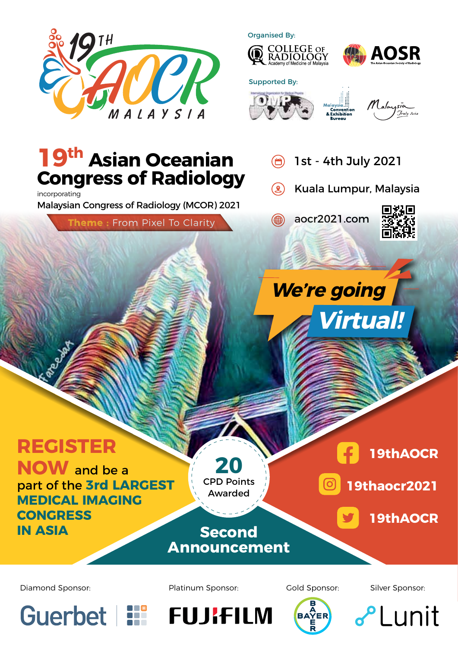

Organised By:











## **19th Asian Oceanian Congress of Radiology**

incorporating Malaysian Congress of Radiology (MCOR) 2021

**Theme :** From Pixel To Clarity

- 1st 4th July 2021  $\bigoplus$
- $\left( 2\right)$ Kuala Lumpur, Malaysia

aocr2021.com (∰



# **Virtual! We're going**

# **REGISTER**

**NOW** and be a part of the **3rd LARGEST MEDICAL IMAGING CONGRESS IN ASIA**



**Second**



**19thaocr2021** တြ

**19thAOCR**

**Announcement**

**BAYER** 



Diamond Sponsor: The Platinum Sponsor: Cold Sponsor: Silver Sponsor:





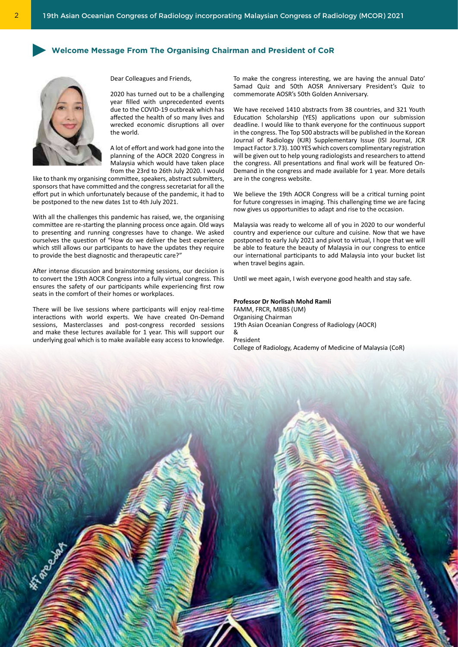## **Welcome Message From The Organising Chairman and President of CoR**



Dear Colleagues and Friends,

2020 has turned out to be a challenging year filled with unprecedented events due to the COVID-19 outbreak which has affected the health of so many lives and wrecked economic disruptions all over the world.

A lot of effort and work had gone into the planning of the AOCR 2020 Congress in Malaysia which would have taken place from the 23rd to 26th July 2020. I would

like to thank my organising committee, speakers, abstract submitters, sponsors that have committed and the congress secretariat for all the effort put in which unfortunately because of the pandemic, it had to be postponed to the new dates 1st to 4th July 2021.

With all the challenges this pandemic has raised, we, the organising committee are re-starting the planning process once again. Old ways to presenting and running congresses have to change. We asked ourselves the question of "How do we deliver the best experience which still allows our participants to have the updates they require to provide the best diagnostic and therapeutic care?"

After intense discussion and brainstorming sessions, our decision is to convert the 19th AOCR Congress into a fully virtual congress. This ensures the safety of our participants while experiencing first row seats in the comfort of their homes or workplaces.

There will be live sessions where participants will enjoy real-time interactions with world experts. We have created On-Demand sessions, Masterclasses and post-congress recorded sessions and make these lectures available for 1 year. This will support our underlying goal which is to make available easy access to knowledge.

To make the congress interesting, we are having the annual Dato' Samad Quiz and 50th AOSR Anniversary President's Quiz to commemorate AOSR's 50th Golden Anniversary.

We have received 1410 abstracts from 38 countries, and 321 Youth Education Scholarship (YES) applications upon our submission deadline. I would like to thank everyone for the continuous support in the congress. The Top 500 abstracts will be published in the Korean Journal of Radiology (KJR) Supplementary Issue (ISI Journal, JCR Impact Factor 3.73). 100 YES which covers complimentary registration will be given out to help young radiologists and researchers to attend the congress. All presentations and final work will be featured On-Demand in the congress and made available for 1 year. More details are in the congress website.

We believe the 19th AOCR Congress will be a critical turning point for future congresses in imaging. This challenging time we are facing now gives us opportunities to adapt and rise to the occasion.

Malaysia was ready to welcome all of you in 2020 to our wonderful country and experience our culture and cuisine. Now that we have postponed to early July 2021 and pivot to virtual, I hope that we will be able to feature the beauty of Malaysia in our congress to entice our international participants to add Malaysia into your bucket list when travel begins again.

Until we meet again, I wish everyone good health and stay safe.

#### **Professor Dr Norlisah Mohd Ramli**

FAMM, FRCR, MBBS (UM) Organising Chairman 19th Asian Oceanian Congress of Radiology (AOCR) & President

College of Radiology, Academy of Medicine of Malaysia (CoR)

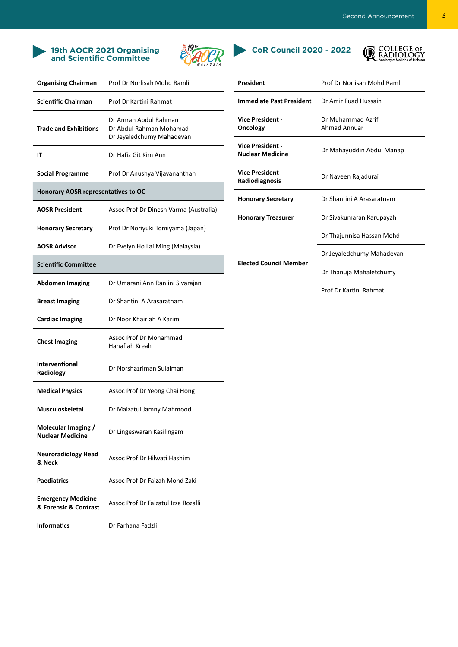### **19th AOCR 2021 Organising and Scientific Committee**







| <b>Organising Chairman</b>                         | Prof Dr Norlisah Mohd Ramli                                                   |
|----------------------------------------------------|-------------------------------------------------------------------------------|
| <b>Scientific Chairman</b>                         | Prof Dr Kartini Rahmat                                                        |
| <b>Trade and Exhibitions</b>                       | Dr Amran Abdul Rahman<br>Dr Abdul Rahman Mohamad<br>Dr Jeyaledchumy Mahadevan |
| IΤ                                                 | Dr Hafiz Git Kim Ann                                                          |
| <b>Social Programme</b>                            | Prof Dr Anushya Vijayananthan                                                 |
| <b>Honorary AOSR representatives to OC</b>         |                                                                               |
| <b>AOSR President</b>                              | Assoc Prof Dr Dinesh Varma (Australia)                                        |
| <b>Honorary Secretary</b>                          | Prof Dr Noriyuki Tomiyama (Japan)                                             |
| <b>AOSR Advisor</b>                                | Dr Evelyn Ho Lai Ming (Malaysia)                                              |
| <b>Scientific Committee</b>                        |                                                                               |
| <b>Abdomen Imaging</b>                             | Dr Umarani Ann Ranjini Sivarajan                                              |
| <b>Breast Imaging</b>                              | Dr Shantini A Arasaratnam                                                     |
| <b>Cardiac Imaging</b>                             | Dr Noor Khairiah A Karim                                                      |
| <b>Chest Imaging</b>                               | Assoc Prof Dr Mohammad<br>Hanafiah Kreah                                      |
| Interventional<br>Radiology                        | Dr Norshazriman Sulaiman                                                      |
| <b>Medical Physics</b>                             | Assoc Prof Dr Yeong Chai Hong                                                 |
| <b>Musculoskeletal</b>                             | Dr Maizatul Jamny Mahmood                                                     |
| Molecular Imaging /<br><b>Nuclear Medicine</b>     | Dr Lingeswaran Kasilingam                                                     |
| <b>Neuroradiology Head</b><br>& Neck               | Assoc Prof Dr Hilwati Hashim                                                  |
| Paediatrics                                        | Assoc Prof Dr Faizah Mohd Zaki                                                |
| <b>Emergency Medicine</b><br>& Forensic & Contrast | Assoc Prof Dr Faizatul Izza Rozalli                                           |
| <b>Informatics</b>                                 | Dr Farhana Fadzli                                                             |

| President                                          | Prof Dr Norlisah Mohd Ramli       |  |
|----------------------------------------------------|-----------------------------------|--|
| <b>Immediate Past President</b>                    | Dr Amir Fuad Hussain              |  |
| <b>Vice President -</b><br>Oncology                | Dr Muhammad Azrif<br>Ahmad Annuar |  |
| <b>Vice President -</b><br><b>Nuclear Medicine</b> | Dr Mahayuddin Abdul Manap         |  |
| <b>Vice President -</b><br>Radiodiagnosis          | Dr Naveen Rajadurai               |  |
| <b>Honorary Secretary</b>                          | Dr Shantini A Arasaratnam         |  |
| <b>Honorary Treasurer</b>                          | Dr Sivakumaran Karupayah          |  |
|                                                    | Dr Thajunnisa Hassan Mohd         |  |
| <b>Elected Council Member</b>                      | Dr Jeyaledchumy Mahadevan         |  |
|                                                    | Dr Thanuja Mahaletchumy           |  |
|                                                    | Prof Dr Kartini Rahmat            |  |
|                                                    |                                   |  |
|                                                    |                                   |  |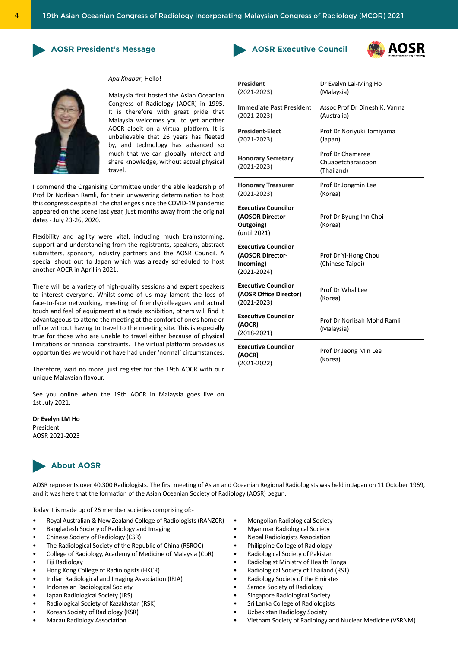**President** 





## *Apa Khabar*, Hello!

Malaysia first hosted the Asian Oceanian Congress of Radiology (AOCR) in 1995. It is therefore with great pride that Malaysia welcomes you to yet another AOCR albeit on a virtual platform. It is unbelievable that 26 years has fleeted by, and technology has advanced so much that we can globally interact and share knowledge, without actual physical travel.

I commend the Organising Committee under the able leadership of Prof Dr Norlisah Ramli, for their unwavering determination to host this congress despite all the challenges since the COVID-19 pandemic appeared on the scene last year, just months away from the original dates - July 23-26, 2020.

Flexibility and agility were vital, including much brainstorming, support and understanding from the registrants, speakers, abstract submitters, sponsors, industry partners and the AOSR Council. A special shout out to Japan which was already scheduled to host another AOCR in April in 2021.

There will be a variety of high-quality sessions and expert speakers to interest everyone. Whilst some of us may lament the loss of face-to-face networking, meeting of friends/colleagues and actual touch and feel of equipment at a trade exhibition, others will find it advantageous to attend the meeting at the comfort of one's home or office without having to travel to the meeting site. This is especially true for those who are unable to travel either because of physical limitations or financial constraints. The virtual platform provides us opportunities we would not have had under 'normal' circumstances.

Therefore, wait no more, just register for the 19th AOCR with our unique Malaysian flavour.

See you online when the 19th AOCR in Malaysia goes live on 1st July 2021.

**Dr Evelyn LM Ho** President AOSR 2021-2023



AOSR represents over 40,300 Radiologists. The first meeting of Asian and Oceanian Regional Radiologists was held in Japan on 11 October 1969, and it was here that the formation of the Asian Oceanian Society of Radiology (AOSR) begun.

Today it is made up of 26 member societies comprising of:-

- Royal Australian & New Zealand College of Radiologists (RANZCR)
- Bangladesh Society of Radiology and Imaging
- Chinese Society of Radiology (CSR)
- The Radiological Society of the Republic of China (RSROC)
- College of Radiology, Academy of Medicine of Malaysia (CoR)
- Fiji Radiology
- Hong Kong College of Radiologists (HKCR)
- Indian Radiological and Imaging Association (IRIA)
- Indonesian Radiological Society
- Japan Radiological Society (JRS)
- Radiological Society of Kazakhstan (RSK)
- Korean Society of Radiology (KSR)
- Macau Radiology Association
- Mongolian Radiological Society
- Myanmar Radiological Society
- Nepal Radiologists Association
- Philippine College of Radiology
- Radiological Society of Pakistan
- Radiologist Ministry of Health Tonga
- Radiological Society of Thailand (RST)
- Radiology Society of the Emirates
- Samoa Society of Radiology
- Singapore Radiological Society
- Sri Lanka College of Radiologists
- Uzbekistan Radiology Society
- Vietnam Society of Radiology and Nuclear Medicine (VSRNM)

| $(2021 - 2023)$                                                                | טו בעכוקה בטו ועווווב ווט<br>(Malaysia)             |
|--------------------------------------------------------------------------------|-----------------------------------------------------|
| <b>Immediate Past President</b><br>$(2021 - 2023)$                             | Assoc Prof Dr Dinesh K. Varma<br>(Australia)        |
| <b>President-Elect</b><br>$(2021 - 2023)$                                      | Prof Dr Noriyuki Tomiyama<br>(Japan)                |
| <b>Honorary Secretary</b><br>$(2021 - 2023)$                                   | Prof Dr Chamaree<br>Chuapetcharasopon<br>(Thailand) |
| <b>Honorary Treasurer</b><br>$(2021 - 2023)$                                   | Prof Dr Jongmin Lee<br>(Korea)                      |
| <b>Executive Councilor</b><br>(AOSOR Director-<br>Outgoing)<br>(until 2021)    | Prof Dr Byung Ihn Choi<br>(Korea)                   |
| <b>Executive Councilor</b><br>(AOSOR Director-<br>Incoming)<br>$(2021 - 2024)$ | Prof Dr Yi-Hong Chou<br>(Chinese Taipei)            |
| <b>Executive Councilor</b><br>(AOSR Office Director)<br>$(2021 - 2023)$        | Prof Dr Whal Lee<br>(Korea)                         |
| <b>Executive Councilor</b><br>(AOCR)<br>$(2018-2021)$                          | Prof Dr Norlisah Mohd Ramli<br>(Malaysia)           |
| <b>Executive Councilor</b><br>(AOCR)<br>$(2021 - 2022)$                        | Prof Dr Jeong Min Lee<br>(Korea)                    |

Dr Evelyn Lai-Ming Ho

AOSR

**AOSR Executive Council**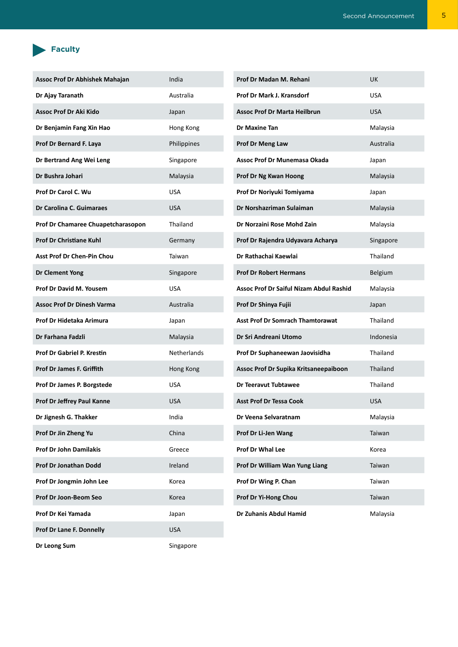## **Faculty**

| Assoc Prof Dr Abhishek Mahajan     | India       | Prof Dr Madan M. Rehani                        | <b>UK</b>  |
|------------------------------------|-------------|------------------------------------------------|------------|
| Dr Ajay Taranath                   | Australia   | Prof Dr Mark J. Kransdorf                      | <b>USA</b> |
| Assoc Prof Dr Aki Kido             | Japan       | <b>Assoc Prof Dr Marta Heilbrun</b>            | <b>USA</b> |
| Dr Benjamin Fang Xin Hao           | Hong Kong   | Dr Maxine Tan                                  | Malaysia   |
| Prof Dr Bernard F. Laya            | Philippines | Prof Dr Meng Law                               | Australia  |
| Dr Bertrand Ang Wei Leng           | Singapore   | Assoc Prof Dr Munemasa Okada                   | Japan      |
| Dr Bushra Johari                   | Malaysia    | Prof Dr Ng Kwan Hoong                          | Malaysia   |
| Prof Dr Carol C. Wu                | <b>USA</b>  | Prof Dr Noriyuki Tomiyama                      | Japan      |
| Dr Carolina C. Guimaraes           | <b>USA</b>  | Dr Norshazriman Sulaiman                       | Malaysia   |
| Prof Dr Chamaree Chuapetcharasopon | Thailand    | Dr Norzaini Rose Mohd Zain                     | Malaysia   |
| <b>Prof Dr Christiane Kuhl</b>     | Germany     | Prof Dr Rajendra Udyavara Acharya              | Singapore  |
| Asst Prof Dr Chen-Pin Chou         | Taiwan      | Dr Rathachai Kaewlai                           | Thailand   |
| <b>Dr Clement Yong</b>             | Singapore   | <b>Prof Dr Robert Hermans</b>                  | Belgium    |
| Prof Dr David M. Yousem            | <b>USA</b>  | <b>Assoc Prof Dr Saiful Nizam Abdul Rashid</b> | Malaysia   |
| <b>Assoc Prof Dr Dinesh Varma</b>  | Australia   | Prof Dr Shinya Fujii                           | Japan      |
| Prof Dr Hidetaka Arimura           | Japan       | <b>Asst Prof Dr Somrach Thamtorawat</b>        | Thailand   |
| Dr Farhana Fadzli                  | Malaysia    | Dr Sri Andreani Utomo                          | Indonesia  |
| Prof Dr Gabriel P. Krestin         | Netherlands | Prof Dr Suphaneewan Jaovisidha                 | Thailand   |
| Prof Dr James F. Griffith          | Hong Kong   | Assoc Prof Dr Supika Kritsaneepaiboon          | Thailand   |
| Prof Dr James P. Borgstede         | <b>USA</b>  | <b>Dr Teeravut Tubtawee</b>                    | Thailand   |
| Prof Dr Jeffrey Paul Kanne         | <b>USA</b>  | <b>Asst Prof Dr Tessa Cook</b>                 | <b>USA</b> |
| Dr Jignesh G. Thakker              | India       | Dr Veena Selvaratnam                           | Malaysia   |
| Prof Dr Jin Zheng Yu               | China       | Prof Dr Li-Jen Wang                            | Taiwan     |
| <b>Prof Dr John Damilakis</b>      | Greece      | Prof Dr Whal Lee                               | Korea      |
| Prof Dr Jonathan Dodd              | Ireland     | Prof Dr William Wan Yung Liang                 | Taiwan     |
| Prof Dr Jongmin John Lee           | Korea       | Prof Dr Wing P. Chan                           | Taiwan     |
| Prof Dr Joon-Beom Seo              | Korea       | Prof Dr Yi-Hong Chou                           | Taiwan     |
| Prof Dr Kei Yamada                 | Japan       | Dr Zuhanis Abdul Hamid                         | Malaysia   |
| Prof Dr Lane F. Donnelly           | <b>USA</b>  |                                                |            |
|                                    |             |                                                |            |

**Dr Leong Sum** Singapore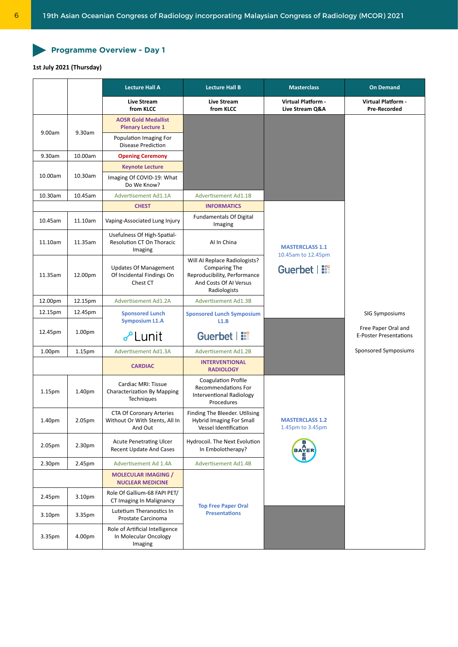## Programme Overview - Day 1

## **1st July 2021 (Thursday)**

|                    |                    | <b>Lecture Hall A</b>                                                        | <b>Lecture Hall B</b>                                                                                                           | <b>Masterclass</b>                           | <b>On Demand</b>                                     |
|--------------------|--------------------|------------------------------------------------------------------------------|---------------------------------------------------------------------------------------------------------------------------------|----------------------------------------------|------------------------------------------------------|
|                    |                    | <b>Live Stream</b><br>from KLCC                                              | <b>Live Stream</b><br>from KLCC                                                                                                 | Virtual Platform -<br>Live Stream Q&A        | Virtual Platform -<br><b>Pre-Recorded</b>            |
| 9.00am             | 9.30am             | <b>AOSR Gold Medallist</b><br><b>Plenary Lecture 1</b>                       |                                                                                                                                 |                                              |                                                      |
|                    |                    | Population Imaging For<br>Disease Prediction                                 |                                                                                                                                 |                                              |                                                      |
| 9.30am             | 10.00am            | <b>Opening Ceremony</b>                                                      |                                                                                                                                 |                                              |                                                      |
|                    |                    | <b>Keynote Lecture</b>                                                       |                                                                                                                                 |                                              |                                                      |
| 10.00am            | 10.30am            | Imaging Of COVID-19: What<br>Do We Know?                                     |                                                                                                                                 |                                              |                                                      |
| 10.30am            | 10.45am            | Advertisement Ad1.1A                                                         | <b>Advertisement Ad1.1B</b>                                                                                                     |                                              |                                                      |
|                    |                    | <b>CHEST</b>                                                                 | <b>INFORMATICS</b>                                                                                                              |                                              |                                                      |
| 10.45am            | 11.10am            | Vaping-Associated Lung Injury                                                | <b>Fundamentals Of Digital</b><br>Imaging                                                                                       |                                              |                                                      |
| 11.10am            | 11.35am            | Usefulness Of High-Spatial-<br>Resolution CT On Thoracic<br>Imaging          | Al In China                                                                                                                     | <b>MASTERCLASS 1.1</b><br>10.45am to 12.45pm |                                                      |
| 11.35am            | 12.00pm            | <b>Updates Of Management</b><br>Of Incidental Findings On<br>Chest CT        | Will AI Replace Radiologists?<br><b>Comparing The</b><br>Reproducibility, Performance<br>And Costs Of AI Versus<br>Radiologists | Guerbet   !!!                                |                                                      |
| 12.00pm            | 12.15pm            | <b>Advertisement Ad1.2A</b>                                                  | <b>Advertisement Ad1.3B</b>                                                                                                     |                                              |                                                      |
| 12.15pm            | 12.45pm            | <b>Sponsored Lunch</b>                                                       | <b>Sponsored Lunch Symposium</b>                                                                                                |                                              | SIG Symposiums                                       |
|                    |                    | <b>Symposium L1.A</b>                                                        | L1.B                                                                                                                            |                                              |                                                      |
| 12.45pm            | 1.00 <sub>pm</sub> | & Lunit                                                                      | Guerbet   ::                                                                                                                    |                                              | Free Paper Oral and<br><b>E-Poster Presentations</b> |
| 1.00 <sub>pm</sub> | 1.15 <sub>pm</sub> | Advertisement Ad1.3A                                                         | <b>Advertisement Ad1.2B</b>                                                                                                     |                                              | Sponsored Symposiums                                 |
|                    |                    | <b>CARDIAC</b>                                                               | <b>INTERVENTIONAL</b><br><b>RADIOLOGY</b>                                                                                       |                                              |                                                      |
| 1.15 <sub>pm</sub> | 1.40pm             | Cardiac MRI: Tissue<br><b>Characterization By Mapping</b><br>Techniques      | <b>Coagulation Profile</b><br>Recommendations For<br><b>Interventional Radiology</b><br>Procedures                              |                                              |                                                      |
| 1.40pm             | 2.05pm             | <b>CTA Of Coronary Arteries</b><br>Without Or With Stents, All In<br>And Out | Finding The Bleeder. Utilising<br><b>Hybrid Imaging For Small</b><br>Vessel Identification                                      | <b>MASTERCLASS 1.2</b><br>1.45pm to 3.45pm   |                                                      |
| 2.05pm             | 2.30pm             | <b>Acute Penetrating Ulcer</b><br>Recent Update And Cases                    | Hydrocoil. The Next Evolution<br>In Embolotherapy?                                                                              | <b>BAYER</b>                                 |                                                      |
| 2.30pm             | 2.45pm             | Advertisement Ad 1.4A                                                        | <b>Advertisement Ad1.4B</b>                                                                                                     |                                              |                                                      |
|                    |                    | <b>MOLECULAR IMAGING /</b><br><b>NUCLEAR MEDICINE</b>                        |                                                                                                                                 |                                              |                                                      |
| 2.45pm             | 3.10pm             | Role Of Gallium-68 FAPI PET/<br>CT Imaging In Malignancy                     |                                                                                                                                 |                                              |                                                      |
| 3.10pm             | 3.35pm             | Lutetium Theranostics In<br>Prostate Carcinoma                               | <b>Top Free Paper Oral</b><br><b>Presentations</b>                                                                              |                                              |                                                      |
| 3.35pm             | 4.00pm             | Role of Artificial Intelligence<br>In Molecular Oncology<br>Imaging          |                                                                                                                                 |                                              |                                                      |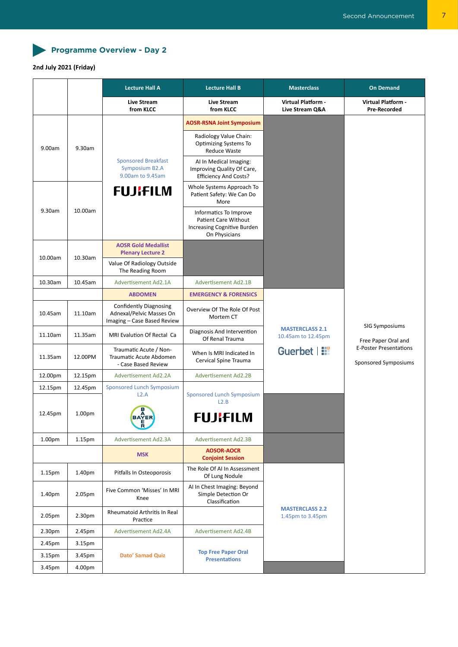

## **2nd July 2021 (Friday)**

|                    |                    | <b>Lecture Hall A</b>                                                                    | <b>Lecture Hall B</b>                                                                          | <b>Masterclass</b>                           | <b>On Demand</b>                                      |
|--------------------|--------------------|------------------------------------------------------------------------------------------|------------------------------------------------------------------------------------------------|----------------------------------------------|-------------------------------------------------------|
|                    |                    | Live Stream<br>from KLCC                                                                 | <b>Live Stream</b><br>from KLCC                                                                | <b>Virtual Platform -</b><br>Live Stream Q&A | <b>Virtual Platform -</b><br><b>Pre-Recorded</b>      |
|                    |                    |                                                                                          | <b>AOSR-RSNA Joint Symposium</b>                                                               |                                              |                                                       |
| 9.00am             | 9.30am             |                                                                                          | Radiology Value Chain:<br><b>Optimizing Systems To</b><br><b>Reduce Waste</b>                  |                                              |                                                       |
|                    |                    | <b>Sponsored Breakfast</b><br>Symposium B2.A<br>9.00am to 9.45am                         | Al In Medical Imaging:<br>Improving Quality Of Care,<br><b>Efficiency And Costs?</b>           |                                              |                                                       |
|                    |                    | <b>FUJIFILM</b>                                                                          | Whole Systems Approach To<br>Patient Safety: We Can Do<br>More                                 |                                              |                                                       |
| 9.30am             | 10.00am            |                                                                                          | Informatics To Improve<br>Patient Care Without<br>Increasing Cognitive Burden<br>On Physicians |                                              |                                                       |
|                    |                    | <b>AOSR Gold Medallist</b><br><b>Plenary Lecture 2</b>                                   |                                                                                                |                                              |                                                       |
| 10.00am            | 10.30am            | Value Of Radiology Outside<br>The Reading Room                                           |                                                                                                |                                              |                                                       |
| 10.30am            | 10.45am            | <b>Advertisement Ad2.1A</b>                                                              | <b>Advertisement Ad2.1B</b>                                                                    |                                              |                                                       |
|                    |                    | <b>ABDOMEN</b>                                                                           | <b>EMERGENCY &amp; FORENSICS</b>                                                               |                                              |                                                       |
| 10.45am            | 11.10am            | <b>Confidently Diagnosing</b><br>Adnexal/Pelvic Masses On<br>Imaging - Case Based Review | Overview Of The Role Of Post<br>Mortem CT                                                      |                                              | <b>SIG Symposiums</b>                                 |
| 11.10am            | 11.35am            | MRI Evalution Of Rectal Ca                                                               | Diagnosis And Intervention<br>Of Renal Trauma                                                  | <b>MASTERCLASS 2.1</b><br>10.45am to 12.45pm | Free Paper Oral and                                   |
| 11.35am            | 12.00PM            | Traumatic Acute / Non-<br>Traumatic Acute Abdomen<br>- Case Based Review                 | When Is MRI Indicated In<br>Cervical Spine Trauma                                              | Guerbet   !!                                 | <b>E-Poster Presentations</b><br>Sponsored Symposiums |
| 12.00pm            | 12.15pm            | <b>Advertisement Ad2.2A</b>                                                              | <b>Advertisement Ad2.2B</b>                                                                    |                                              |                                                       |
| 12.15pm            | 12.45pm            | <b>Sponsored Lunch Symposium</b><br>L2.A                                                 | <b>Sponsored Lunch Symposium</b><br>L2.B                                                       |                                              |                                                       |
| 12.45pm            | 1.00 <sub>pm</sub> | <b>BAYER</b><br>R                                                                        | <b>FUJIFILM</b>                                                                                |                                              |                                                       |
| 1.00pm             | 1.15pm             | <b>Advertisement Ad2.3A</b>                                                              | <b>Advertisement Ad2.3B</b>                                                                    |                                              |                                                       |
|                    |                    | <b>MSK</b>                                                                               | <b>AOSOR-AOCR</b><br><b>Conjoint Session</b>                                                   |                                              |                                                       |
| 1.15 <sub>pm</sub> | 1.40pm             | Pitfalls In Osteoporosis                                                                 | The Role Of AI In Assessment<br>Of Lung Nodule                                                 |                                              |                                                       |
| 1.40pm             | 2.05pm             | Five Common 'Misses' In MRI<br>Knee                                                      | AI In Chest Imaging: Beyond<br>Simple Detection Or<br>Classification                           |                                              |                                                       |
| 2.05pm             | 2.30 <sub>pm</sub> | <b>Rheumatoid Arthritis In Real</b><br>Practice                                          |                                                                                                | <b>MASTERCLASS 2.2</b><br>1.45pm to 3.45pm   |                                                       |
| 2.30 <sub>pm</sub> | 2.45pm             | Advertisement Ad2.4A                                                                     | <b>Advertisement Ad2.4B</b>                                                                    |                                              |                                                       |
| 2.45pm             | 3.15 <sub>pm</sub> |                                                                                          |                                                                                                |                                              |                                                       |
| 3.15pm             | 3.45pm             | <b>Dato' Samad Quiz</b>                                                                  | <b>Top Free Paper Oral</b><br><b>Presentations</b>                                             |                                              |                                                       |
| 3.45pm             | 4.00pm             |                                                                                          |                                                                                                |                                              |                                                       |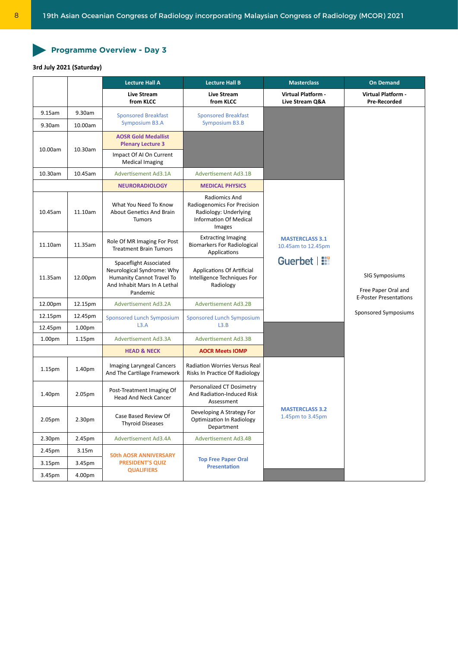## Programme Overview - Day 3

## **3rd July 2021 (Saturday)**

|                    |                    | <b>Lecture Hall A</b>                                                                                                         | <b>Lecture Hall B</b>                                                                                            | <b>Masterclass</b>                           | <b>On Demand</b>                                                       |
|--------------------|--------------------|-------------------------------------------------------------------------------------------------------------------------------|------------------------------------------------------------------------------------------------------------------|----------------------------------------------|------------------------------------------------------------------------|
|                    |                    | <b>Live Stream</b><br>from KLCC                                                                                               | <b>Live Stream</b><br>from KLCC                                                                                  | Virtual Platform -<br>Live Stream Q&A        | <b>Virtual Platform -</b><br>Pre-Recorded                              |
| 9.15am             | 9.30am             | <b>Sponsored Breakfast</b>                                                                                                    | <b>Sponsored Breakfast</b>                                                                                       |                                              |                                                                        |
| 9.30am             | 10.00am            | <b>Symposium B3.A</b>                                                                                                         | <b>Symposium B3.B</b>                                                                                            |                                              |                                                                        |
| 10.00am            | 10.30am            | <b>AOSR Gold Medallist</b><br><b>Plenary Lecture 3</b>                                                                        |                                                                                                                  |                                              |                                                                        |
|                    |                    | Impact Of AI On Current<br><b>Medical Imaging</b>                                                                             |                                                                                                                  |                                              |                                                                        |
| 10.30am            | 10.45am            | <b>Advertisement Ad3.1A</b>                                                                                                   | <b>Advertisement Ad3.1B</b>                                                                                      |                                              |                                                                        |
|                    |                    | <b>NEURORADIOLOGY</b>                                                                                                         | <b>MEDICAL PHYSICS</b>                                                                                           |                                              |                                                                        |
| 10.45am            | 11.10am            | What You Need To Know<br><b>About Genetics And Brain</b><br><b>Tumors</b>                                                     | Radiomics And<br>Radiogenomics For Precision<br>Radiology: Underlying<br><b>Information Of Medical</b><br>Images |                                              |                                                                        |
| 11.10am            | 11.35am            | Role Of MR Imaging For Post<br><b>Treatment Brain Tumors</b>                                                                  | <b>Extracting Imaging</b><br><b>Biomarkers For Radiological</b><br>Applications                                  | <b>MASTERCLASS 3.1</b><br>10.45am to 12.45pm |                                                                        |
| 11.35am            | 12.00pm            | Spaceflight Associated<br>Neurological Syndrome: Why<br>Humanity Cannot Travel To<br>And Inhabit Mars In A Lethal<br>Pandemic | <b>Applications Of Artificial</b><br>Intelligence Techniques For<br>Radiology                                    | Guerbet   ::                                 | SIG Symposiums<br>Free Paper Oral and<br><b>E-Poster Presentations</b> |
| 12.00pm            | 12.15pm            | Advertisement Ad3.2A                                                                                                          | <b>Advertisement Ad3.2B</b>                                                                                      |                                              |                                                                        |
| 12.15pm            | 12.45pm            | Sponsored Lunch Symposium                                                                                                     | <b>Sponsored Lunch Symposium</b>                                                                                 |                                              | Sponsored Symposiums                                                   |
| 12.45pm            | 1.00 <sub>pm</sub> | L3.A                                                                                                                          | L3.B                                                                                                             |                                              |                                                                        |
| 1.00 <sub>pm</sub> | 1.15 <sub>pm</sub> | Advertisement Ad3.3A                                                                                                          | <b>Advertisement Ad3.3B</b>                                                                                      |                                              |                                                                        |
|                    |                    | <b>HEAD &amp; NECK</b>                                                                                                        | <b>AOCR Meets IOMP</b>                                                                                           |                                              |                                                                        |
| 1.15 <sub>pm</sub> | 1.40pm             | Imaging Laryngeal Cancers<br>And The Cartilage Framework                                                                      | <b>Radiation Worries Versus Real</b><br>Risks In Practice Of Radiology                                           |                                              |                                                                        |
| 1.40pm             | 2.05pm             | Post-Treatment Imaging Of<br><b>Head And Neck Cancer</b>                                                                      | Personalized CT Dosimetry<br>And Radiation-Induced Risk<br>Assessment                                            |                                              |                                                                        |
| 2.05pm             | 2.30pm             | Case Based Review Of<br><b>Thyroid Diseases</b>                                                                               | Developing A Strategy For<br>Optimization In Radiology<br>Department                                             | <b>MASTERCLASS 3.2</b><br>1.45pm to 3.45pm   |                                                                        |
| 2.30pm             | 2.45pm             | Advertisement Ad3.4A                                                                                                          | Advertisement Ad3.4B                                                                                             |                                              |                                                                        |
| 2.45pm             | 3.15m              | <b>50th AOSR ANNIVERSARY</b>                                                                                                  |                                                                                                                  |                                              |                                                                        |
| 3.15pm             | 3.45pm             | <b>PRESIDENT'S QUIZ</b>                                                                                                       | <b>Top Free Paper Oral</b><br><b>Presentation</b>                                                                |                                              |                                                                        |
| 3.45pm             | 4.00pm             | <b>QUALIFIERS</b>                                                                                                             |                                                                                                                  |                                              |                                                                        |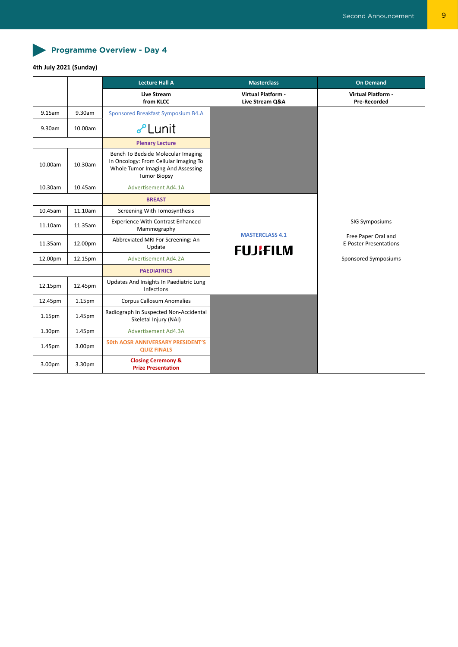Programme Overview - Day 4

## **4th July 2021 (Sunday)**

|                    |         | <b>Lecture Hall A</b>                                                                                                                   | <b>Masterclass</b>                           | <b>On Demand</b>                                                       |
|--------------------|---------|-----------------------------------------------------------------------------------------------------------------------------------------|----------------------------------------------|------------------------------------------------------------------------|
|                    |         | Live Stream<br>from KLCC                                                                                                                | <b>Virtual Platform -</b><br>Live Stream Q&A | <b>Virtual Platform -</b><br><b>Pre-Recorded</b>                       |
| 9.15am             | 9.30am  | Sponsored Breakfast Symposium B4.A                                                                                                      |                                              |                                                                        |
| 9.30am             | 10.00am | <b>J</b> Lunit                                                                                                                          |                                              |                                                                        |
|                    |         | <b>Plenary Lecture</b>                                                                                                                  |                                              |                                                                        |
| 10.00am            | 10.30am | Bench To Bedside Molecular Imaging<br>In Oncology: From Cellular Imaging To<br>Whole Tumor Imaging And Assessing<br><b>Tumor Biopsy</b> |                                              |                                                                        |
| 10.30am            | 10.45am | Advertisement Ad4.1A                                                                                                                    |                                              |                                                                        |
|                    |         | <b>BREAST</b>                                                                                                                           |                                              |                                                                        |
| 10.45am            | 11.10am | Screening With Tomosynthesis                                                                                                            |                                              |                                                                        |
| 11.10am            | 11.35am | <b>Experience With Contrast Enhanced</b><br>Mammography                                                                                 |                                              | SIG Symposiums<br>Free Paper Oral and<br><b>E-Poster Presentations</b> |
| 11.35am            | 12.00pm | Abbreviated MRI For Screening: An<br>Update                                                                                             | <b>MASTERCLASS 4.1</b><br><b>FUJIFILM</b>    |                                                                        |
| 12.00pm            | 12.15pm | Advertisement Ad4.2A                                                                                                                    |                                              | Sponsored Symposiums                                                   |
|                    |         | <b>PAEDIATRICS</b>                                                                                                                      |                                              |                                                                        |
| 12.15pm            | 12.45pm | Updates And Insights In Paediatric Lung<br>Infections                                                                                   |                                              |                                                                        |
| 12.45pm            | 1.15pm  | <b>Corpus Callosum Anomalies</b>                                                                                                        |                                              |                                                                        |
| 1.15 <sub>pm</sub> | 1.45pm  | Radiograph In Suspected Non-Accidental<br>Skeletal Injury (NAI)                                                                         |                                              |                                                                        |
| 1.30pm             | 1.45pm  | Advertisement Ad4.3A                                                                                                                    |                                              |                                                                        |
| 1.45pm             | 3.00pm  | <b>50th AOSR ANNIVERSARY PRESIDENT'S</b><br><b>QUIZ FINALS</b>                                                                          |                                              |                                                                        |
| 3.00 <sub>pm</sub> | 3.30pm  | <b>Closing Ceremony &amp;</b><br><b>Prize Presentation</b>                                                                              |                                              |                                                                        |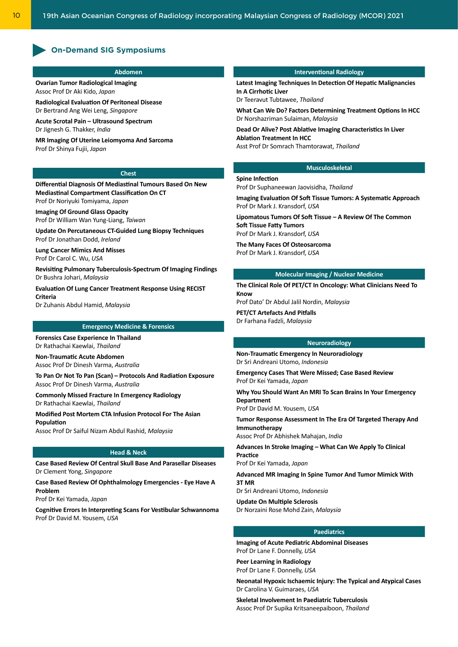## **On-Demand SIG Symposiums**

#### **Abdomen**

**Ovarian Tumor Radiological Imaging** Assoc Prof Dr Aki Kido, *Japan*

**Radiological Evaluation Of Peritoneal Disease** Dr Bertrand Ang Wei Leng, *Singapore*

**Acute Scrotal Pain – Ultrasound Spectrum** Dr Jignesh G. Thakker, *India*

**MR Imaging Of Uterine Leiomyoma And Sarcoma** Prof Dr Shinya Fujii, *Japan*

#### **Chest**

**Differential Diagnosis Of Mediastinal Tumours Based On New Mediastinal Compartment Classification On CT** Prof Dr Noriyuki Tomiyama, *Japan*

**Imaging Of Ground Glass Opacity** Prof Dr William Wan Yung-Liang, *Taiwan*

**Update On Percutaneous CT-Guided Lung Biopsy Techniques** Prof Dr Jonathan Dodd, *Ireland*

**Lung Cancer Mimics And Misses** Prof Dr Carol C. Wu, *USA*

**Revisiting Pulmonary Tuberculosis-Spectrum Of Imaging Findings** Dr Bushra Johari, *Malaysia*

**Evaluation Of Lung Cancer Treatment Response Using RECIST Criteria**

Dr Zuhanis Abdul Hamid, *Malaysia*

#### **Emergency Medicine & Forensics**

**Forensics Case Experience In Thailand** Dr Rathachai Kaewlai, *Thailand*

**Non-Traumatic Acute Abdomen** Assoc Prof Dr Dinesh Varma, *Australia*

**To Pan Or Not To Pan (Scan) – Protocols And Radiation Exposure** Assoc Prof Dr Dinesh Varma, *Australia*

**Commonly Missed Fracture In Emergency Radiology** Dr Rathachai Kaewlai, *Thailand*

**Modified Post Mortem CTA Infusion Protocol For The Asian Population**

Assoc Prof Dr Saiful Nizam Abdul Rashid, *Malaysia*

#### **Head & Neck**

**Case Based Review Of Central Skull Base And Parasellar Diseases** Dr Clement Yong, *Singapore*

**Case Based Review Of Ophthalmology Emergencies - Eye Have A Problem**

Prof Dr Kei Yamada, *Japan*

**Cognitive Errors In Interpreting Scans For Vestibular Schwannoma** Prof Dr David M. Yousem, *USA*

#### **Interventional Radiology**

**Latest Imaging Techniques In Detection Of Hepatic Malignancies In A Cirrhotic Liver**

Dr Teeravut Tubtawee, *Thailand*

**What Can We Do? Factors Determining Treatment Options In HCC** Dr Norshazriman Sulaiman, *Malaysia*

**Dead Or Alive? Post Ablative Imaging Characteristics In Liver Ablation Treatment In HCC** Asst Prof Dr Somrach Thamtorawat, *Thailand*

## **Musculoskeletal**

Prof Dr Suphaneewan Jaovisidha, *Thailand*

**Spine Infection**

**Imaging Evaluation Of Soft Tissue Tumors: A Systematic Approach** Prof Dr Mark J. Kransdorf, *USA*

**Lipomatous Tumors Of Soft Tissue – A Review Of The Common Soft Tissue Fatty Tumors** Prof Dr Mark J. Kransdorf, *USA*

**The Many Faces Of Osteosarcoma** Prof Dr Mark J. Kransdorf, *USA*

#### **Molecular Imaging / Nuclear Medicine**

**The Clinical Role Of PET/CT In Oncology: What Clinicians Need To Know**

Prof Dato' Dr Abdul Jalil Nordin, *Malaysia*

**PET/CT Artefacts And Pitfalls** Dr Farhana Fadzli, *Malaysia*

#### **Neuroradiology**

**Non-Traumatic Emergency In Neuroradiology** Dr Sri Andreani Utomo, *Indonesia*

**Emergency Cases That Were Missed; Case Based Review** Prof Dr Kei Yamada, *Japan*

**Why You Should Want An MRI To Scan Brains In Your Emergency Department**

Prof Dr David M. Yousem, *USA*

**Tumor Response Assessment In The Era Of Targeted Therapy And Immunotherapy**

Assoc Prof Dr Abhishek Mahajan, *India*

**Advances In Stroke Imaging – What Can We Apply To Clinical Practice**

Prof Dr Kei Yamada, *Japan*

**Advanced MR Imaging In Spine Tumor And Tumor Mimick With 3T MR**

Dr Sri Andreani Utomo, *Indonesia*

**Update On Multiple Sclerosis** Dr Norzaini Rose Mohd Zain, *Malaysia*

#### **Paediatrics**

**Imaging of Acute Pediatric Abdominal Diseases** Prof Dr Lane F. Donnelly, *USA*

**Peer Learning in Radiology** Prof Dr Lane F. Donnelly, *USA*

**Neonatal Hypoxic Ischaemic Injury: The Typical and Atypical Cases** Dr Carolina V. Guimaraes, *USA*

**Skeletal Involvement In Paediatric Tuberculosis** Assoc Prof Dr Supika Kritsaneepaiboon, *Thailand*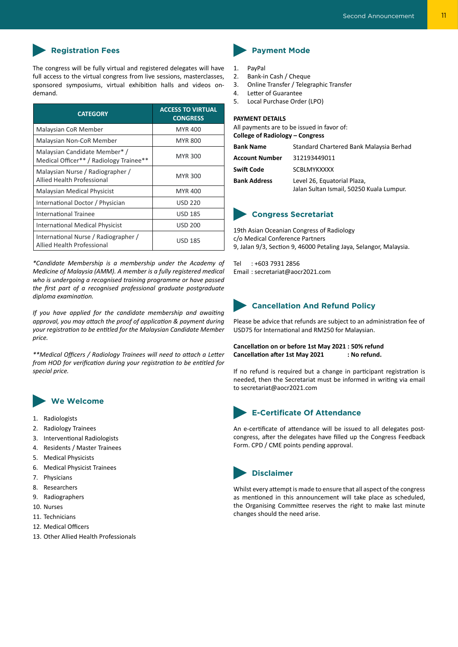

The congress will be fully virtual and registered delegates will have full access to the virtual congress from live sessions, masterclasses, sponsored symposiums, virtual exhibition halls and videos ondemand.

| <b>CATEGORY</b>                                                           | <b>ACCESS TO VIRTUAL</b><br><b>CONGRESS</b> |
|---------------------------------------------------------------------------|---------------------------------------------|
| Malaysian CoR Member                                                      | <b>MYR 400</b>                              |
| Malaysian Non-CoR Member                                                  | <b>MYR 800</b>                              |
| Malaysian Candidate Member* /<br>Medical Officer** / Radiology Trainee**  | <b>MYR 300</b>                              |
| Malaysian Nurse / Radiographer /<br><b>Allied Health Professional</b>     | <b>MYR 300</b>                              |
| <b>Malaysian Medical Physicist</b>                                        | <b>MYR 400</b>                              |
| International Doctor / Physician                                          | <b>USD 220</b>                              |
| International Trainee                                                     | <b>USD 185</b>                              |
| International Medical Physicist                                           | <b>USD 200</b>                              |
| International Nurse / Radiographer /<br><b>Allied Health Professional</b> | <b>USD 185</b>                              |

*\*Candidate Membership is a membership under the Academy of Medicine of Malaysia (AMM). A member is a fully registered medical who is undergoing a recognised training programme or have passed the first part of a recognised professional graduate postgraduate diploma examination.*

*If you have applied for the candidate membership and awaiting approval, you may attach the proof of application & payment during your registration to be entitled for the Malaysian Candidate Member price.*

*\*\*Medical Officers / Radiology Trainees will need to attach a Letter from HOD for verification during your registration to be entitled for special price.*

## **We Welcome**

- 1. Radiologists
- 2. Radiology Trainees
- 3. Interventional Radiologists
- 4. Residents / Master Trainees
- 5. Medical Physicists
- 6. Medical Physicist Trainees
- 7. Physicians
- 8. Researchers
- 9. Radiographers
- 10. Nurses
- 11. Technicians
- 12. Medical Officers
- 13. Other Allied Health Professionals

- 1. PayPal
- 2. Bank-in Cash / Cheque
- 3. Online Transfer / Telegraphic Transfer
- 4. Letter of Guarantee
- 5. Local Purchase Order (LPO)

#### **PAYMENT DETAILS**

All payments are to be issued in favor of: **College of Radiology – Congress**

**Bank Name** Standard Chartered Bank Malaysia Berhad **Account Number** 312193449011 **Swift Code** SCBLMYKXXXX **Bank Address** Level 26, Equatorial Plaza, Jalan Sultan Ismail, 50250 Kuala Lumpur.

## **Congress Secretariat**

19th Asian Oceanian Congress of Radiology c/o Medical Conference Partners 9, Jalan 9/3, Section 9, 46000 Petaling Jaya, Selangor, Malaysia.

Tel : +603 7931 2856 Email : secretariat@aocr2021.com

## **Cancellation And Refund Policy**

Please be advice that refunds are subject to an administration fee of USD75 for International and RM250 for Malaysian.

**Cancellation on or before 1st May 2021 : 50% refund Cancellation after 1st May 2021 : No refund.**

If no refund is required but a change in participant registration is needed, then the Secretariat must be informed in writing via email to secretariat@aocr2021.com

## **E-Certificate Of Attendance**

An e-certificate of attendance will be issued to all delegates postcongress, after the delegates have filled up the Congress Feedback Form. CPD / CME points pending approval.



Whilst every attempt is made to ensure that all aspect of the congress as mentioned in this announcement will take place as scheduled, the Organising Committee reserves the right to make last minute changes should the need arise.